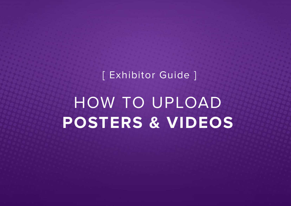[ Exhibitor Guide ]

## HOW TO UPLOAD **POSTERS & VIDEOS**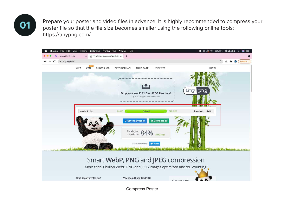

**01** Prepare your poster and video files in advance. It is highly recommended to compress your poster file so that the file size becomes smaller using the following online tools: https://tinypng.com/



Compress Poster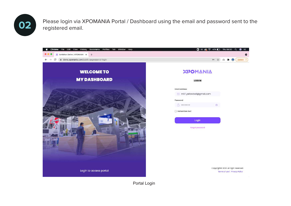

**02** Please login via XPOMANIA Portal / Dashboard using the email and password sent to the registered email registered email.



Portal Login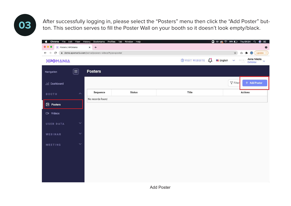After successfully logging in, please select the "Posters" menu then click the "Add Poster" but-<br>ton. This section serves to fill the Poster Wall on your booth so it doesn't look empty/black.

| Chrome File Edit View History<br>o.<br>X Posters   XPOmania<br>$\leftarrow$ $\rightarrow$<br>$\mathcal{C}$ |                       | Bookmarks Profiles Tab Window Help<br>$+$<br>$\times$<br>demo.xpomania.com/portal/posters-videos?type=poster |               |                                                      | $\Box$ 00 $\odot$ $\widehat{\otimes}$ 39% $\Box$ Thu 04.54 Q<br>$\circledast$ :=<br>$\bullet$<br>☆<br>$*$ $\bullet$<br>$($ Update $\qquad$ :<br>$\mathbb{C}$ |
|------------------------------------------------------------------------------------------------------------|-----------------------|--------------------------------------------------------------------------------------------------------------|---------------|------------------------------------------------------|--------------------------------------------------------------------------------------------------------------------------------------------------------------|
| ΧΡΟΜΑΝΙΑ                                                                                                   |                       |                                                                                                              |               | <b>DVISIT WEBSITE</b> $\int_{-1}^{1}$ <b>English</b> | Anna Nikola<br>$\mathbf{v} = \mathbb{N} \mathop{\mathbb{K}}\limits_{\mathbb{R}^m}$                                                                           |
| Navigation                                                                                                 | $\left(\equiv\right)$ | <b>Posters</b>                                                                                               |               |                                                      |                                                                                                                                                              |
| ill Dashboard                                                                                              |                       |                                                                                                              |               |                                                      | $\nabla$ Filter<br>+ Add Poster                                                                                                                              |
| <b>BOOTH</b>                                                                                               | $\lambda$             | Sequence                                                                                                     | <b>Status</b> | Title                                                | <b>Actions</b>                                                                                                                                               |
| <b>2</b> Posters                                                                                           |                       | No records found                                                                                             |               |                                                      |                                                                                                                                                              |
| CN Videos                                                                                                  |                       |                                                                                                              |               |                                                      |                                                                                                                                                              |
| <b>USER DATA</b>                                                                                           | $\checkmark$          |                                                                                                              |               |                                                      |                                                                                                                                                              |
| WEBINAR                                                                                                    | $\checkmark$          |                                                                                                              |               |                                                      |                                                                                                                                                              |
| MEETING                                                                                                    | $\checkmark$          |                                                                                                              |               |                                                      |                                                                                                                                                              |
|                                                                                                            |                       |                                                                                                              |               |                                                      |                                                                                                                                                              |
|                                                                                                            |                       |                                                                                                              |               |                                                      |                                                                                                                                                              |
|                                                                                                            |                       |                                                                                                              |               |                                                      |                                                                                                                                                              |
|                                                                                                            |                       |                                                                                                              |               |                                                      |                                                                                                                                                              |

Add Poster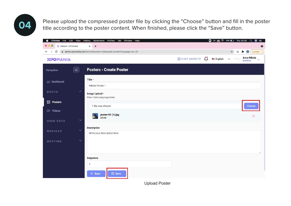**04** Please upload the compressed poster file by clicking the "Choose" button and fill in the poster till in the poster content. When finished, please click the "Save" button.



Upload Poster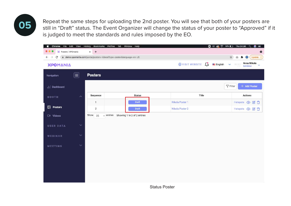Repeat the same steps for uploading the 2nd poster. You will see that both of your posters are still in "Draft" status. The Event Organizer will change the status of your poster to "Approved" if it is judged to meet the standards and rules imposed by the EO.



Status Poster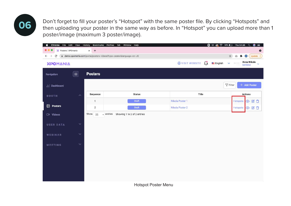**06** Don't forget to fill your poster's "Hotspot" with the same poster file. By clicking "Hotspots" and then uploading your poster in the same way as before. In "Hotspot" you can upload more than 1 poster/image (maximum 3 poster/image).

| Chrome<br>á<br>File Edit View   |                                                                                            | History<br>Bookmarks Profiles | Tab Window<br>Help          | $\Box$ 00 $\odot$ $\widehat{\otimes}$ 38% $\Box$ Thu 04.56 | ⋒<br>$\alpha$<br>$=$                                   |  |  |
|---------------------------------|--------------------------------------------------------------------------------------------|-------------------------------|-----------------------------|------------------------------------------------------------|--------------------------------------------------------|--|--|
| X Posters   XPOmania            |                                                                                            | $+$<br>$\times$               |                             |                                                            | $\bullet$                                              |  |  |
| C<br>$\leftarrow$ $\rightarrow$ | @ demo.xpomania.com/portal/posters-videos?type=poster&language=en-US<br>Update [<br>*<br>ū |                               |                             |                                                            |                                                        |  |  |
| ΧΡΟΜΔΝΙΑ                        |                                                                                            |                               |                             | WISIT WEBSITE $\int_{a}^{b}$ <b>English</b>                | Anna Nikola<br>Exhibitor<br>$\checkmark$<br><b>NTK</b> |  |  |
| Navigation                      | $\left[ \equiv \right]$                                                                    | <b>Posters</b>                |                             |                                                            |                                                        |  |  |
| Dashboard                       |                                                                                            |                               |                             |                                                            | $\nabla$ Filter<br>+ Add Poster                        |  |  |
| <b>BOOTH</b>                    | $\wedge$                                                                                   | Sequence                      | <b>Status</b>               | Title                                                      | <b>Actions</b>                                         |  |  |
|                                 |                                                                                            | $\mathbf{1}$                  | Draft                       | Nikola Poster 1                                            | $O$ $C$ $D$<br>Hotspots                                |  |  |
| <b>2</b> Posters                |                                                                                            | $\overline{2}$                | Draft                       | Nikola Poster 2                                            | Hotspots<br>◎ 凶自                                       |  |  |
| $\Box$ Videos                   |                                                                                            | Show 25<br>$\vee$ entries     | Showing 1 to 2 of 2 entries |                                                            |                                                        |  |  |
|                                 |                                                                                            |                               |                             |                                                            |                                                        |  |  |
| <b>USER DATA</b>                | $\checkmark$                                                                               |                               |                             |                                                            |                                                        |  |  |
|                                 |                                                                                            |                               |                             |                                                            |                                                        |  |  |
| WEBINAR                         | $\checkmark$                                                                               |                               |                             |                                                            |                                                        |  |  |
| <b>MEETING</b>                  | $\checkmark$                                                                               |                               |                             |                                                            |                                                        |  |  |
|                                 |                                                                                            |                               |                             |                                                            |                                                        |  |  |
|                                 |                                                                                            |                               |                             |                                                            |                                                        |  |  |
|                                 |                                                                                            |                               |                             |                                                            |                                                        |  |  |
|                                 |                                                                                            |                               |                             |                                                            |                                                        |  |  |
|                                 |                                                                                            |                               |                             |                                                            |                                                        |  |  |
|                                 |                                                                                            |                               |                             |                                                            |                                                        |  |  |

Hotspot Poster Menu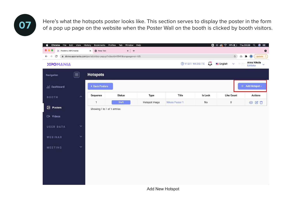**07** Here's what the hotspots poster looks like. This section serves to display the poster in the form of a pop up page on the website when the Poster Wall on the booth is clicked by booth visitors.

| á.<br>Chrome<br>File Edit View  |                         | History<br>Bookmarks        | Profiles<br>Window<br>Tab                                           | Help          |                 |                           | $\Box$ $\omega$ $\otimes$ $\widehat{\approx}$ 36% $\Box$ Thu 04.59 | $\bullet$<br>$\alpha$<br>$\equiv$ |
|---------------------------------|-------------------------|-----------------------------|---------------------------------------------------------------------|---------------|-----------------|---------------------------|--------------------------------------------------------------------|-----------------------------------|
| X Posters   XPOmania            |                         | hew Tab<br>×                | $x$ +                                                               |               |                 |                           |                                                                    | $\bullet$                         |
| $\leftarrow$ $\rightarrow$<br>C |                         |                             | di demo.xpomania.com/portal/video-popup?videold=9941&language=en-US |               |                 |                           | $\frac{1}{k^2}$<br>û                                               | Update :<br>$\bullet$<br>寿        |
| ΧΡΟΜΑΝΙΑ                        |                         |                             |                                                                     |               |                 | $\bigoplus$ VISIT WEBSITE | English<br>NIKO<br>$\checkmark$                                    | Anna Nikola<br>Exhibitor          |
| Navigation                      | $\left(\equiv\right)$   | <b>Hotspots</b>             |                                                                     |               |                 |                           |                                                                    |                                   |
| 11 Dashboard                    |                         | <b>4 Back Posters</b>       |                                                                     |               |                 |                           |                                                                    | + Add Hotspot -                   |
| <b>BOOTH</b>                    | $\widehat{\phantom{a}}$ | Sequence                    | <b>Status</b>                                                       | Type          | Title           | <b>Is Lock</b>            | <b>Like Count</b>                                                  | <b>Actions</b>                    |
|                                 |                         | $\mathbf{1}$                | Draft                                                               | Hotspot Image | Nikola Poster 1 | No                        | $\pmb{0}$                                                          | $O$ $C$ <sup>T</sup>              |
| $2$ Posters                     |                         | Showing 1 to 1 of 1 entries |                                                                     |               |                 |                           |                                                                    |                                   |
| CM Videos                       |                         |                             |                                                                     |               |                 |                           |                                                                    |                                   |
|                                 |                         |                             |                                                                     |               |                 |                           |                                                                    |                                   |
| <b>USER DATA</b>                | $\checkmark$            |                             |                                                                     |               |                 |                           |                                                                    |                                   |
| WEBINAR                         | $\checkmark$            |                             |                                                                     |               |                 |                           |                                                                    |                                   |
|                                 |                         |                             |                                                                     |               |                 |                           |                                                                    |                                   |
| <b>MEETING</b>                  | $\checkmark$            |                             |                                                                     |               |                 |                           |                                                                    |                                   |
|                                 |                         |                             |                                                                     |               |                 |                           |                                                                    |                                   |
|                                 |                         |                             |                                                                     |               |                 |                           |                                                                    |                                   |
|                                 |                         |                             |                                                                     |               |                 |                           |                                                                    |                                   |
|                                 |                         |                             |                                                                     |               |                 |                           |                                                                    |                                   |
|                                 |                         |                             |                                                                     |               |                 |                           |                                                                    |                                   |

Add New Hotspot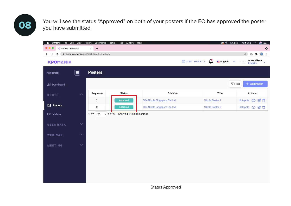You will see the status "Approved" on both of your posters if the EO has approved the poster<br>
You have submitted you have submitted.

| Chrome File Edit View           | History                 | Bookmarks                                 | Profiles<br>Window<br>Tab   | Help                         |                                   |       | <b>◎ 令 39% [チ]</b> Thu 05.58<br>$\alpha$ | $\bullet$<br>$\equiv$ |
|---------------------------------|-------------------------|-------------------------------------------|-----------------------------|------------------------------|-----------------------------------|-------|------------------------------------------|-----------------------|
| X Posters   XPOmania            |                         | $+$<br>$\times$                           |                             |                              |                                   |       |                                          | $\bullet$             |
| C<br>$\leftarrow$ $\rightarrow$ |                         | ≙ demo.xpomania.com/portal/posters-videos |                             |                              |                                   |       | ☆<br>$\mathbb{G}$                        | $\bullet$ :           |
| ΧΡΟΜΑΝΙΑ                        |                         |                                           |                             |                              | <b>OVISIT WEBSITE L English</b> v |       | Anna Nikola<br>Exhibitor<br>NIKO         | $\ddotmark$           |
| Navigation                      | $\equiv$                | <b>Posters</b>                            |                             |                              |                                   |       |                                          |                       |
| III Dashboard                   |                         |                                           |                             |                              |                                   |       | $\nabla$ Filter<br>+ Add Poster          |                       |
| <b>BOOTH</b>                    | $\widehat{\phantom{a}}$ | Sequence                                  | <b>Status</b>               | <b>Exhibitor</b>             |                                   | Title | <b>Actions</b>                           |                       |
|                                 |                         | $\mathbf{1}$                              | Approved                    | S04 Nikola Singapore Pte Ltd | Nikola Poster 1                   |       | Hotspots <b>⊙</b> 2 □                    |                       |
| <b>2</b> Posters                |                         | $\overline{2}$                            | Approved                    | S04 Nikola Singapore Pte Ltd | Nikola Poster 2                   |       | Hotspots <b>⊙</b> 2 自                    |                       |
| C <sup>N</sup> Videos           |                         | Show<br>$\vee$ entries<br>25              | Showing 1 to 2 of 2 entries |                              |                                   |       |                                          |                       |
| <b>USER DATA</b>                | $\checkmark$            |                                           |                             |                              |                                   |       |                                          |                       |
|                                 |                         |                                           |                             |                              |                                   |       |                                          |                       |
| WEBINAR                         | $\checkmark$            |                                           |                             |                              |                                   |       |                                          |                       |
| MEETING                         | $\checkmark$            |                                           |                             |                              |                                   |       |                                          |                       |
|                                 |                         |                                           |                             |                              |                                   |       |                                          |                       |
|                                 |                         |                                           |                             |                              |                                   |       |                                          |                       |
|                                 |                         |                                           |                             |                              |                                   |       |                                          |                       |
|                                 |                         |                                           |                             |                              |                                   |       |                                          |                       |
|                                 |                         |                                           |                             |                              |                                   |       |                                          |                       |

Status Approved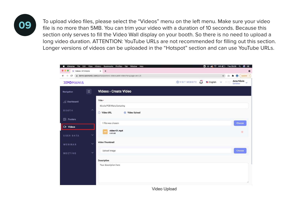To upload video files, please select the "Videos" menu on the left menu. Make sure your video file is no more than 5MB. You can trim your video with a duration of 10 seconds. Because this section only serves to fill the Video Wall display on your booth. So there is no need to upload a long video duration. ATTENTION: YouTube URLs are not recommended for filling out this section. Longer versions of videos can be uploaded in the "Hotspot" section and can use YouTube URLs.

| File Edit View<br>Chrome                     | History<br>Profiles Tab<br>Bookmarks<br>Window<br>Help             |                                                                     | $\Box$ $\omega$ $\otimes$ $\approx$ 30% $\Box$ Thu 05.09<br>$\bullet$<br>$\alpha$<br>旧 |
|----------------------------------------------|--------------------------------------------------------------------|---------------------------------------------------------------------|----------------------------------------------------------------------------------------|
| X Videos   XPOmania                          | $+$<br>$\times$                                                    |                                                                     | o                                                                                      |
| C<br>$\leftarrow$<br>$\rightarrow$           | à demo.xpomania.com/portal/posters-videos/add-video?language=en-US |                                                                     | ☆<br>$\bullet$<br>Update :<br>白                                                        |
| ΧΡΟΜΔΝΙΔ                                     |                                                                    | $\bigoplus$ VISIT WEBSITE $\bigcup_{i=1}^{n}$ <b>English</b> $\vee$ | Anna Nikola<br>Exhibitor<br>NIK<br>$\ddot{\mathbf{v}}$                                 |
| $\equiv)$<br>Navigation                      | <b>Videos</b> > Create Video                                       |                                                                     |                                                                                        |
| ill Dashboard                                | Title *<br>Nicola PCB Manufacturing                                |                                                                     |                                                                                        |
| $\hat{\phantom{a}}$<br><b>BOOTH</b>          | <b>◎</b> Video Upload<br>O Video URL                               |                                                                     |                                                                                        |
| <b>EX</b> Posters                            | 1 file was chosen                                                  |                                                                     | Choose                                                                                 |
| □ Videos<br>$\checkmark$<br><b>USER DATA</b> | video-01.mp4<br>mp<br>4.49 MB                                      |                                                                     | $\left( 36\right)$                                                                     |
| $\checkmark$<br>WEBINAR                      | <b>Video Thumbnail</b>                                             |                                                                     |                                                                                        |
| $\checkmark$<br><b>MEETING</b>               | Upload Image                                                       |                                                                     | Choose                                                                                 |
|                                              | <b>Description</b>                                                 |                                                                     |                                                                                        |
|                                              | Your description here                                              |                                                                     |                                                                                        |

Video Upload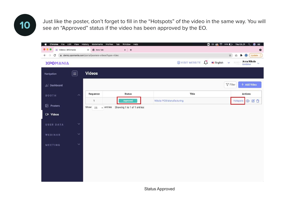**10** Just like the poster, don't forget to fill in the "Hotspots" of the video in the same way. You will see an "Approved" status if the video has been approved by the EO.

| Chrome File Edit View History             | Bookmarks<br>Profiles                              | Window Help<br>Tab          | $\Box$ 00 $\odot$ $\widehat{\otimes}$ 35% $\Box$ Thu 05.01     | $\alpha$<br>$\circledast$<br>$=$                 |
|-------------------------------------------|----------------------------------------------------|-----------------------------|----------------------------------------------------------------|--------------------------------------------------|
| X Videos   XPOmania                       | <b>v</b> New Tab<br>$\times$                       | $x +$                       |                                                                | $\bullet$                                        |
| $\mathbf C$<br>$\leftarrow$ $\rightarrow$ | demo.xpomania.com/portal/posters-videos?type=video |                             |                                                                | $\bigcirc$ (Update $\vdots$<br>☆<br>$\odot$<br>齐 |
| ΧΡΟΜΑΝΙΑ                                  |                                                    |                             | $\bigoplus$ VISIT WEBSITE $\bigcup_{i=1}^{n}$ <b>Example 3</b> | Anna Nikola<br>NHKO                              |
| $\equiv$<br>Navigation                    | <b>Videos</b>                                      |                             |                                                                |                                                  |
| dil Dashboard                             |                                                    |                             |                                                                | $\nabla$ Filter<br>+ Add Video                   |
| $\wedge$<br><b>BOOTH</b>                  | Sequence                                           | <b>Status</b>               | Title                                                          | <b>Actions</b>                                   |
|                                           | $\mathbf{1}$                                       | Approved                    | Nikola PCB Manufacturing                                       | ◎凶自<br>Hotspots                                  |
| D Posters                                 | Show<br>$\sqrt{\frac{1}{2}}$ entries<br>25         | Showing 1 to 1 of 1 entries |                                                                |                                                  |
| $\Box$ <sup>4</sup> Videos                |                                                    |                             |                                                                |                                                  |
| $\checkmark$<br><b>USER DATA</b>          |                                                    |                             |                                                                |                                                  |
| $\checkmark$<br>WEBINAR                   |                                                    |                             |                                                                |                                                  |
| $\checkmark$<br>MEETING                   |                                                    |                             |                                                                |                                                  |
|                                           |                                                    |                             |                                                                |                                                  |
|                                           |                                                    |                             |                                                                |                                                  |
|                                           |                                                    |                             |                                                                |                                                  |
|                                           |                                                    |                             |                                                                |                                                  |
|                                           |                                                    |                             |                                                                |                                                  |

Status Approved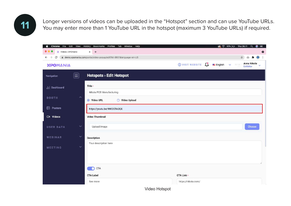**11** Longer versions of videos can be uploaded in the "Hotspot" section and can use YouTube URLs.<br>You may enter more than 1 YouTube URL in the hotspot (maximum 3 YouTube URLs) if required.

| $+$<br>X Videos   XPOmania<br>$\times$<br>demo.xpomania.com/portal/video-popup/edit?Id=9951&language=en-US<br>C<br>☆<br>$\leftarrow$<br>$\rightarrow$<br>o<br>Anna Nikola<br>$\bigoplus$ VISIT WEBSITE $\bigcup$ English $\vee$<br>ΧΡΟΜΑΝΙΑ<br>NIK<br>Exhibitor<br><b>Hotspots</b> > Edit Hotspot<br>$ \equiv $<br>Navigation<br>Title *<br>III Dashboard<br>Nikola PCB Manufacturing<br>$\boldsymbol{\wedge}$<br><b>BOOTH</b><br>◯ Video Upload<br>● Video URL<br>⊠<br>Posters<br>https://youtu.be/4MI2CfIADQE<br>D4 Videos<br><b>Video Thumbnail</b> | $\equiv$  |
|--------------------------------------------------------------------------------------------------------------------------------------------------------------------------------------------------------------------------------------------------------------------------------------------------------------------------------------------------------------------------------------------------------------------------------------------------------------------------------------------------------------------------------------------------------|-----------|
|                                                                                                                                                                                                                                                                                                                                                                                                                                                                                                                                                        | $\bullet$ |
|                                                                                                                                                                                                                                                                                                                                                                                                                                                                                                                                                        |           |
|                                                                                                                                                                                                                                                                                                                                                                                                                                                                                                                                                        |           |
|                                                                                                                                                                                                                                                                                                                                                                                                                                                                                                                                                        |           |
|                                                                                                                                                                                                                                                                                                                                                                                                                                                                                                                                                        |           |
|                                                                                                                                                                                                                                                                                                                                                                                                                                                                                                                                                        |           |
|                                                                                                                                                                                                                                                                                                                                                                                                                                                                                                                                                        |           |
|                                                                                                                                                                                                                                                                                                                                                                                                                                                                                                                                                        |           |
| $\checkmark$<br>Upload Image<br>Choose<br><b>USER DATA</b>                                                                                                                                                                                                                                                                                                                                                                                                                                                                                             |           |
| $\checkmark$<br>WEBINAR<br><b>Description</b>                                                                                                                                                                                                                                                                                                                                                                                                                                                                                                          |           |
| Your description here<br>$\checkmark$<br><b>MEETING</b>                                                                                                                                                                                                                                                                                                                                                                                                                                                                                                |           |
|                                                                                                                                                                                                                                                                                                                                                                                                                                                                                                                                                        |           |
| <b>CTA</b>                                                                                                                                                                                                                                                                                                                                                                                                                                                                                                                                             |           |
| <b>CTA Link *</b><br><b>CTA Label</b>                                                                                                                                                                                                                                                                                                                                                                                                                                                                                                                  |           |
| https://nikola.com/<br>See more                                                                                                                                                                                                                                                                                                                                                                                                                                                                                                                        |           |

Video Hotspot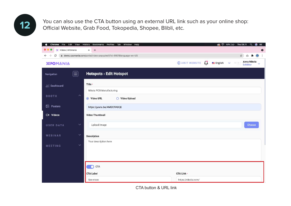**12** You can also use the CTA button using an external URL link such as your online shop:<br>Official Website Grab Eood Tokopedia Shopee Blibli etc Official Website, Grab Food, Tokopedia, Shopee, Blibli, etc.



CTA button & URL link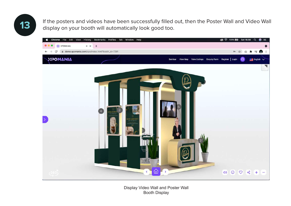**13** If the posters and videos have been successfully filled out, then the Poster Wall and Video Wall display on your booth will automatically look good too display on your booth will automatically look good too.



Display Video Wall and Poster Wall Booth Display